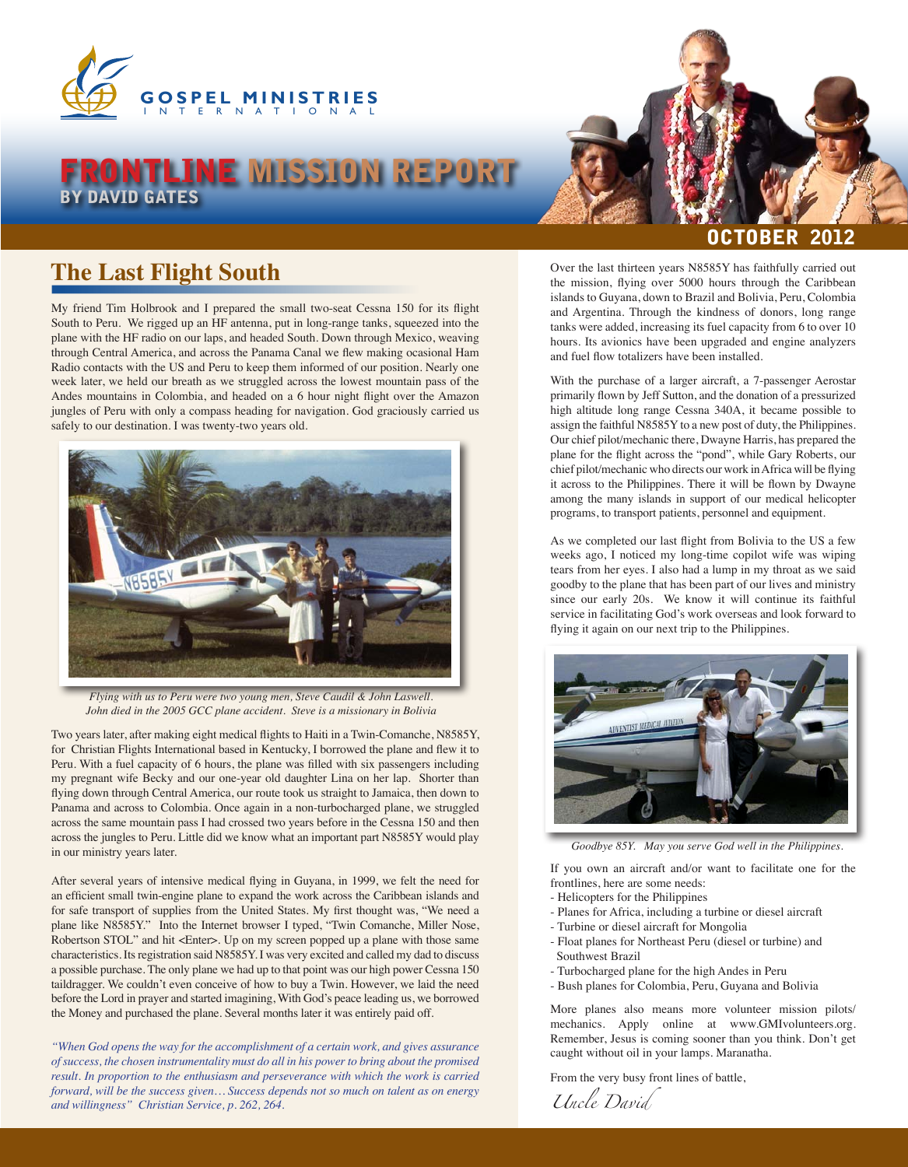

## FRONTLINE MISSION REPORT BY DAVID GATES

## **The Last Flight South**

My friend Tim Holbrook and I prepared the small two-seat Cessna 150 for its flight South to Peru. We rigged up an HF antenna, put in long-range tanks, squeezed into the plane with the HF radio on our laps, and headed South. Down through Mexico, weaving through Central America, and across the Panama Canal we flew making ocasional Ham Radio contacts with the US and Peru to keep them informed of our position. Nearly one week later, we held our breath as we struggled across the lowest mountain pass of the Andes mountains in Colombia, and headed on a 6 hour night flight over the Amazon jungles of Peru with only a compass heading for navigation. God graciously carried us safely to our destination. I was twenty-two years old.



*Flying with us to Peru were two young men, Steve Caudil & John Laswell. John died in the 2005 GCC plane accident. Steve is a missionary in Bolivia*

Two years later, after making eight medical flights to Haiti in a Twin-Comanche, N8585Y, for Christian Flights International based in Kentucky, I borrowed the plane and flew it to Peru. With a fuel capacity of 6 hours, the plane was filled with six passengers including my pregnant wife Becky and our one-year old daughter Lina on her lap. Shorter than flying down through Central America, our route took us straight to Jamaica, then down to Panama and across to Colombia. Once again in a non-turbocharged plane, we struggled across the same mountain pass I had crossed two years before in the Cessna 150 and then across the jungles to Peru. Little did we know what an important part N8585Y would play in our ministry years later.

After several years of intensive medical flying in Guyana, in 1999, we felt the need for an efficient small twin-engine plane to expand the work across the Caribbean islands and for safe transport of supplies from the United States. My first thought was, "We need a plane like N8585Y." Into the Internet browser I typed, "Twin Comanche, Miller Nose, Robertson STOL" and hit <Enter>. Up on my screen popped up a plane with those same characteristics. Its registration said N8585Y. I was very excited and called my dad to discuss a possible purchase. The only plane we had up to that point was our high power Cessna 150 taildragger. We couldn't even conceive of how to buy a Twin. However, we laid the need before the Lord in prayer and started imagining, With God's peace leading us, we borrowed the Money and purchased the plane. Several months later it was entirely paid off.

*"When God opens the way for the accomplishment of a certain work, and gives assurance of success, the chosen instrumentality must do all in his power to bring about the promised result. In proportion to the enthusiasm and perseverance with which the work is carried forward, will be the success given… Success depends not so much on talent as on energy and willingness" Christian Service, p. 262, 264.*

## $\mathbf 0\mathbf B$

Over the last thirteen years N8585Y has faithfully carried out the mission, flying over 5000 hours through the Caribbean islands to Guyana, down to Brazil and Bolivia, Peru, Colombia and Argentina. Through the kindness of donors, long range tanks were added, increasing its fuel capacity from 6 to over 10 hours. Its avionics have been upgraded and engine analyzers and fuel flow totalizers have been installed.

With the purchase of a larger aircraft, a 7-passenger Aerostar primarily flown by Jeff Sutton, and the donation of a pressurized high altitude long range Cessna 340A, it became possible to assign the faithful N8585Y to a new post of duty, the Philippines. Our chief pilot/mechanic there, Dwayne Harris, has prepared the plane for the flight across the "pond", while Gary Roberts, our chief pilot/mechanic who directs our work in Africa will be flying it across to the Philippines. There it will be flown by Dwayne among the many islands in support of our medical helicopter programs, to transport patients, personnel and equipment.

As we completed our last flight from Bolivia to the US a few weeks ago, I noticed my long-time copilot wife was wiping tears from her eyes. I also had a lump in my throat as we said goodby to the plane that has been part of our lives and ministry since our early 20s. We know it will continue its faithful service in facilitating God's work overseas and look forward to flying it again on our next trip to the Philippines.



*Goodbye 85Y. May you serve God well in the Philippines.*

If you own an aircraft and/or want to facilitate one for the frontlines, here are some needs:

- Helicopters for the Philippines
- Planes for Africa, including a turbine or diesel aircraft
- Turbine or diesel aircraft for Mongolia
- Float planes for Northeast Peru (diesel or turbine) and Southwest Brazil
- Turbocharged plane for the high Andes in Peru
- Bush planes for Colombia, Peru, Guyana and Bolivia

More planes also means more volunteer mission pilots/ mechanics. Apply online at www.GMIvolunteers.org. Remember, Jesus is coming sooner than you think. Don't get caught without oil in your lamps. Maranatha.

From the very busy front lines of battle,

*Uncle David*